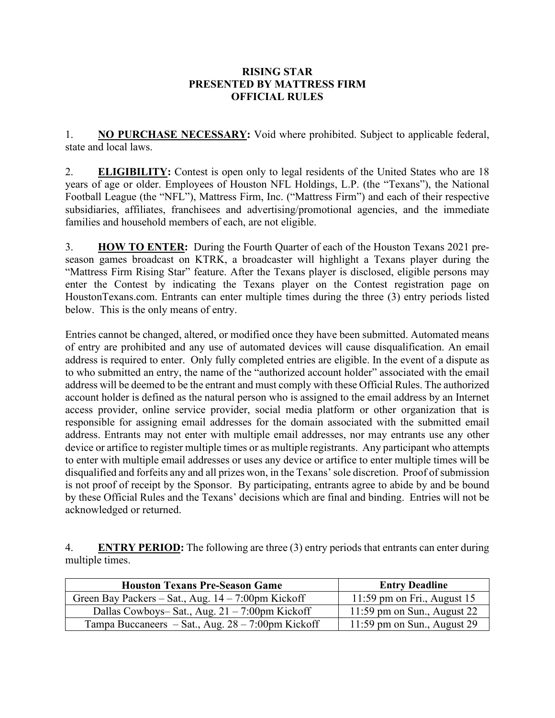## **RISING STAR PRESENTED BY MATTRESS FIRM OFFICIAL RULES**

1. **NO PURCHASE NECESSARY:** Void where prohibited. Subject to applicable federal, state and local laws.

2. **ELIGIBILITY:** Contest is open only to legal residents of the United States who are 18 years of age or older. Employees of Houston NFL Holdings, L.P. (the "Texans"), the National Football League (the "NFL"), Mattress Firm, Inc. ("Mattress Firm") and each of their respective subsidiaries, affiliates, franchisees and advertising/promotional agencies, and the immediate families and household members of each, are not eligible.

3. **HOW TO ENTER:** During the Fourth Quarter of each of the Houston Texans 2021 preseason games broadcast on KTRK, a broadcaster will highlight a Texans player during the "Mattress Firm Rising Star" feature. After the Texans player is disclosed, eligible persons may enter the Contest by indicating the Texans player on the Contest registration page on HoustonTexans.com. Entrants can enter multiple times during the three (3) entry periods listed below. This is the only means of entry.

Entries cannot be changed, altered, or modified once they have been submitted. Automated means of entry are prohibited and any use of automated devices will cause disqualification. An email address is required to enter. Only fully completed entries are eligible. In the event of a dispute as to who submitted an entry, the name of the "authorized account holder" associated with the email address will be deemed to be the entrant and must comply with these Official Rules. The authorized account holder is defined as the natural person who is assigned to the email address by an Internet access provider, online service provider, social media platform or other organization that is responsible for assigning email addresses for the domain associated with the submitted email address. Entrants may not enter with multiple email addresses, nor may entrants use any other device or artifice to register multiple times or as multiple registrants. Any participant who attempts to enter with multiple email addresses or uses any device or artifice to enter multiple times will be disqualified and forfeits any and all prizes won, in the Texans' sole discretion. Proof of submission is not proof of receipt by the Sponsor. By participating, entrants agree to abide by and be bound by these Official Rules and the Texans' decisions which are final and binding. Entries will not be acknowledged or returned.

4. **ENTRY PERIOD:** The following are three (3) entry periods that entrants can enter during multiple times.

| <b>Houston Texans Pre-Season Game</b>                 | <b>Entry Deadline</b>         |
|-------------------------------------------------------|-------------------------------|
| Green Bay Packers – Sat., Aug. $14 - 7:00$ pm Kickoff | 11:59 pm on Fri., August $15$ |
| Dallas Cowboys-Sat., Aug. $21 - 7:00$ pm Kickoff      | 11:59 pm on Sun., August $22$ |
| Tampa Buccaneers – Sat., Aug. $28 - 7:00$ pm Kickoff  | $11:59$ pm on Sun., August 29 |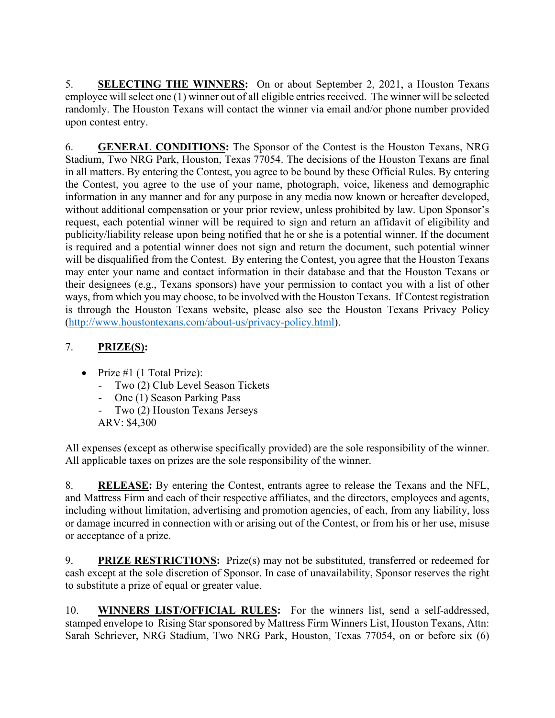5. **SELECTING THE WINNERS:** On or about September 2, 2021, a Houston Texans employee will select one (1) winner out of all eligible entries received. The winner will be selected randomly. The Houston Texans will contact the winner via email and/or phone number provided upon contest entry.

6. **GENERAL CONDITIONS:** The Sponsor of the Contest is the Houston Texans, NRG Stadium, Two NRG Park, Houston, Texas 77054. The decisions of the Houston Texans are final in all matters. By entering the Contest, you agree to be bound by these Official Rules. By entering the Contest, you agree to the use of your name, photograph, voice, likeness and demographic information in any manner and for any purpose in any media now known or hereafter developed, without additional compensation or your prior review, unless prohibited by law. Upon Sponsor's request, each potential winner will be required to sign and return an affidavit of eligibility and publicity/liability release upon being notified that he or she is a potential winner. If the document is required and a potential winner does not sign and return the document, such potential winner will be disqualified from the Contest. By entering the Contest, you agree that the Houston Texans may enter your name and contact information in their database and that the Houston Texans or their designees (e.g., Texans sponsors) have your permission to contact you with a list of other ways, from which you may choose, to be involved with the Houston Texans. If Contest registration is through the Houston Texans website, please also see the Houston Texans Privacy Policy [\(http://www.houstontexans.com/about-us/privacy-policy.html\)](http://www.houstontexans.com/about-us/privacy-policy.html).

## 7. **PRIZE(S):**

- Prize #1 (1 Total Prize):
	- Two (2) Club Level Season Tickets
	- One (1) Season Parking Pass
	- Two (2) Houston Texans Jerseys
	- ARV: \$4,300

All expenses (except as otherwise specifically provided) are the sole responsibility of the winner. All applicable taxes on prizes are the sole responsibility of the winner.

8. **RELEASE:** By entering the Contest, entrants agree to release the Texans and the NFL, and Mattress Firm and each of their respective affiliates, and the directors, employees and agents, including without limitation, advertising and promotion agencies, of each, from any liability, loss or damage incurred in connection with or arising out of the Contest, or from his or her use, misuse or acceptance of a prize.

9. **PRIZE RESTRICTIONS:** Prize(s) may not be substituted, transferred or redeemed for cash except at the sole discretion of Sponsor. In case of unavailability, Sponsor reserves the right to substitute a prize of equal or greater value.

10. **WINNERS LIST/OFFICIAL RULES:** For the winners list, send a self-addressed, stamped envelope to Rising Star sponsored by Mattress Firm Winners List, Houston Texans, Attn: Sarah Schriever, NRG Stadium, Two NRG Park, Houston, Texas 77054, on or before six (6)